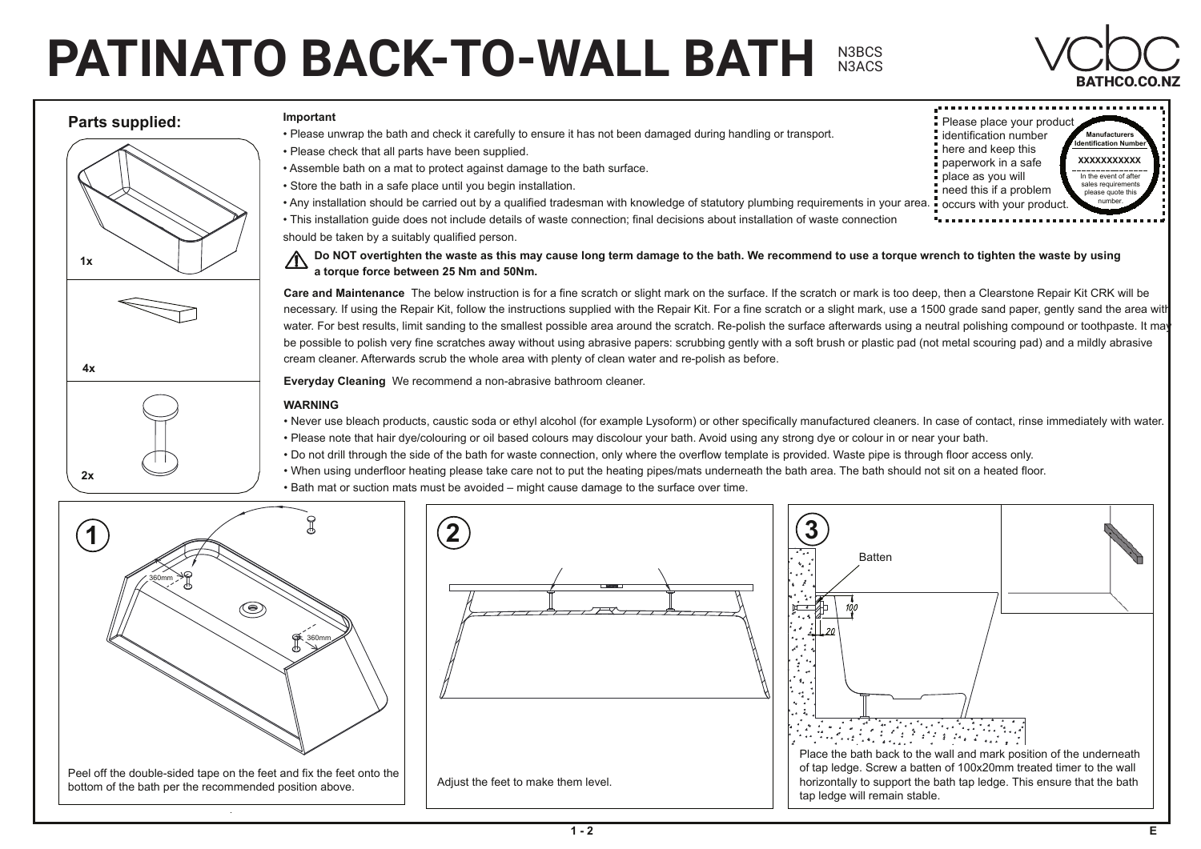## **PATINATO BACK-TO-WALL BATH**  $BATHCO.CO.NZ$ N3BCS N3ACS



**Manufacturer Identification Number** 

Please place your product identification number here and keep this paperwork in a safe place as you will

In the event of after sales requirements please quote this number.

**XXXXXXXXXXX**

## **Parts supplied:**

## **Important**













Please unwrap the bath and check it carefully to ensure it has not been damaged during handling or transport.

- Please check that all parts have been supplied.
- Assemble bath on a mat to protect against damage to the bath surface.
- Store the bath in a safe place until you begin installation.
- need this if a problem occurs with your produc • Any installation should be carried out by a qualified tradesman with knowledge of statutory plumbing requirements in your area.
- This installation guide does not include details of waste connection; final decisions about installation of waste connection should be taken by a suitably qualified person.

 **Do NOT overtighten the waste as this may cause long term damage to the bath. We recommend to use a torque wrench to tighten the waste by using a torque force between 25 Nm and 50Nm.**

**Care and Maintenance Care and Maintenance** The below instruction is for a fine scratch or slight mark on the surface. If the scratch or mark is too deep, then a Clearstone Repair Kit CRK will be necessary. If using the Repair Kit, follow the instructions supplied with the Repair Kit. For a fine scratch or a slight mark, use a 1500 grade sand paper, gently sand the area with water. For best results, limit sanding to the smallest possible area around the scratch. Re-polish the surface afterwards using a neutral polishing compound or toothpaste. It may be possible to polish very fine scratches away without using abrasive papers: scrubbing gently with a soft brush or plastic pad (not metal scouring pad) and a mildly abrasive cream cleaner. Afterwards scrub the whole area with plenty of clean water and re-polish as before.

**Everyday Cleaning** We recommend a non-abrasive bathroom cleaner.

## **WARNING**

- WE RECOMMEND A NON-ABRASIVE BATHROOM CLEANER. • Never use bleach products, caustic soda or ethyl alcohol (for example Lysoform) or other specifically manufactured cleaners. In case of contact, rinse immediately with water.
- Please note that hair dye/colouring or oil based colours may discolour your bath. Avoid using any strong dye or colour in or near your bath.
- Do not drill through the side of the bath for waste connection, only where the overflow template is provided. Waste pipe is through floor access only.
- When using underfloor heating please take care not to put the heating pipes/mats underneath the bath area. The bath should not sit on a heated floor.
- Please note that the colour may be avoided  $-$  might cause damage to the sunace over time. • Bath mat or suction mats must be avoided – might cause damage to the surface over time.